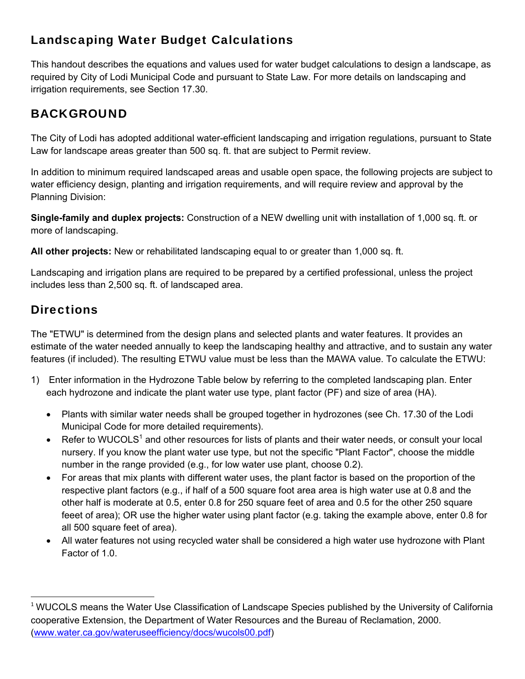## Landscaping Water Budget Calculations

This handout describes the equations and values used for water budget calculations to design a landscape, as required by City of Lodi Municipal Code and pursuant to State Law. For more details on landscaping and irrigation requirements, see Section 17.30.

# BACKGROUND

The City of Lodi has adopted additional water-efficient landscaping and irrigation regulations, pursuant to State Law for landscape areas greater than 500 sq. ft. that are subject to Permit review.

In addition to minimum required landscaped areas and usable open space, the following projects are subject to water efficiency design, planting and irrigation requirements, and will require review and approval by the Planning Division:

**Single-family and duplex projects:** Construction of a NEW dwelling unit with installation of 1,000 sq. ft. or more of landscaping.

**All other projects:** New or rehabilitated landscaping equal to or greater than 1,000 sq. ft.

Landscaping and irrigation plans are required to be prepared by a certified professional, unless the project includes less than 2,500 sq. ft. of landscaped area.

# **Directions**

The "ETWU" is determined from the design plans and selected plants and water features. It provides an estimate of the water needed annually to keep the landscaping healthy and attractive, and to sustain any water features (if included). The resulting ETWU value must be less than the MAWA value. To calculate the ETWU:

- 1) Enter information in the Hydrozone Table below by referring to the completed landscaping plan. Enter each hydrozone and indicate the plant water use type, plant factor (PF) and size of area (HA).
	- Plants with similar water needs shall be grouped together in hydrozones (see Ch. 17.30 of the Lodi Municipal Code for more detailed requirements).
	- $\bullet$  Refer to WUCOLS<sup>1</sup> and other resources for lists of plants and their water needs, or consult your local nursery. If you know the plant water use type, but not the specific "Plant Factor", choose the middle number in the range provided (e.g., for low water use plant, choose 0.2).
	- For areas that mix plants with different water uses, the plant factor is based on the proportion of the respective plant factors (e.g., if half of a 500 square foot area area is high water use at 0.8 and the other half is moderate at 0.5, enter 0.8 for 250 square feet of area and 0.5 for the other 250 square feeet of area); OR use the higher water using plant factor (e.g. taking the example above, enter 0.8 for all 500 square feet of area).
	- All water features not using recycled water shall be considered a high water use hydrozone with Plant Factor of 1.0.

<sup>&</sup>lt;sup>1</sup> WUCOLS means the Water Use Classification of Landscape Species published by the University of California cooperative Extension, the Department of Water Resources and the Bureau of Reclamation, 2000. (www.water.ca.gov/wateruseefficiency/docs/wucols00.pdf)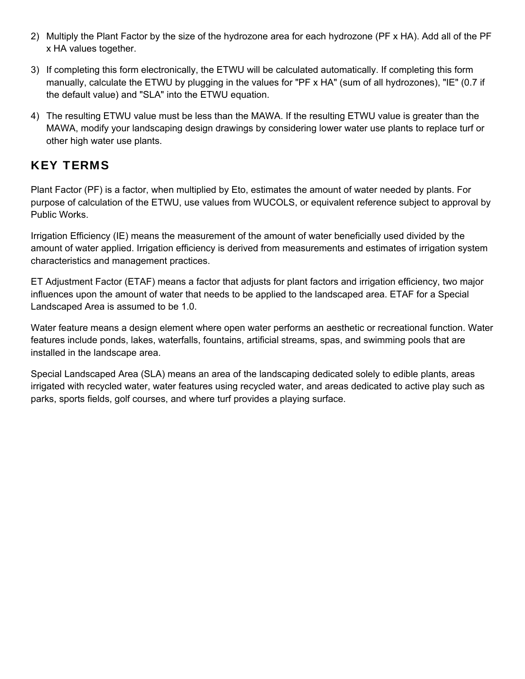- 2) Multiply the Plant Factor by the size of the hydrozone area for each hydrozone (PF x HA). Add all of the PF x HA values together.
- 3) If completing this form electronically, the ETWU will be calculated automatically. If completing this form manually, calculate the ETWU by plugging in the values for "PF x HA" (sum of all hydrozones), "IE" (0.7 if the default value) and "SLA" into the ETWU equation.
- 4) The resulting ETWU value must be less than the MAWA. If the resulting ETWU value is greater than the MAWA, modify your landscaping design drawings by considering lower water use plants to replace turf or other high water use plants.

## KEY TERMS

Plant Factor (PF) is a factor, when multiplied by Eto, estimates the amount of water needed by plants. For purpose of calculation of the ETWU, use values from WUCOLS, or equivalent reference subject to approval by Public Works.

Irrigation Efficiency (IE) means the measurement of the amount of water beneficially used divided by the amount of water applied. Irrigation efficiency is derived from measurements and estimates of irrigation system characteristics and management practices.

ET Adjustment Factor (ETAF) means a factor that adjusts for plant factors and irrigation efficiency, two major influences upon the amount of water that needs to be applied to the landscaped area. ETAF for a Special Landscaped Area is assumed to be 1.0.

Water feature means a design element where open water performs an aesthetic or recreational function. Water features include ponds, lakes, waterfalls, fountains, artificial streams, spas, and swimming pools that are installed in the landscape area.

Special Landscaped Area (SLA) means an area of the landscaping dedicated solely to edible plants, areas irrigated with recycled water, water features using recycled water, and areas dedicated to active play such as parks, sports fields, golf courses, and where turf provides a playing surface.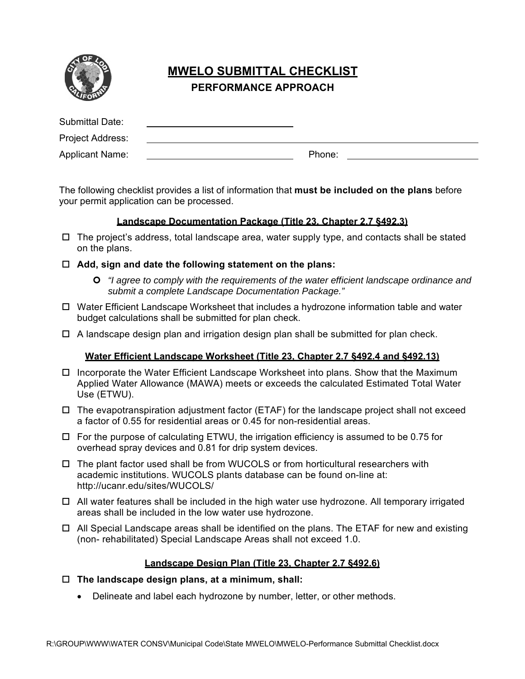

## **MWELO SUBMITTAL CHECKLIST PERFORMANCE APPROACH**

| Submittal Date:        |        |  |
|------------------------|--------|--|
| Project Address:       |        |  |
| <b>Applicant Name:</b> | Phone: |  |

The following checklist provides a list of information that **must be included on the plans** before your permit application can be processed.

## **Landscape Documentation Package (Title 23, Chapter 2.7 §492.3)**

- $\Box$  The project's address, total landscape area, water supply type, and contacts shall be stated on the plans.
- **Add, sign and date the following statement on the plans:** 
	- *"I agree to comply with the requirements of the water efficient landscape ordinance and submit a complete Landscape Documentation Package."*
- $\Box$  Water Efficient Landscape Worksheet that includes a hydrozone information table and water budget calculations shall be submitted for plan check.
- $\Box$  A landscape design plan and irrigation design plan shall be submitted for plan check.

## **Water Efficient Landscape Worksheet (Title 23, Chapter 2.7 §492.4 and §492.13)**

- $\Box$  Incorporate the Water Efficient Landscape Worksheet into plans. Show that the Maximum Applied Water Allowance (MAWA) meets or exceeds the calculated Estimated Total Water Use (ETWU).
- $\Box$  The evapotranspiration adjustment factor (ETAF) for the landscape project shall not exceed a factor of 0.55 for residential areas or 0.45 for non-residential areas.
- $\Box$  For the purpose of calculating ETWU, the irrigation efficiency is assumed to be 0.75 for overhead spray devices and 0.81 for drip system devices.
- $\Box$  The plant factor used shall be from WUCOLS or from horticultural researchers with academic institutions. WUCOLS plants database can be found on-line at: http://ucanr.edu/sites/WUCOLS/
- $\Box$  All water features shall be included in the high water use hydrozone. All temporary irrigated areas shall be included in the low water use hydrozone.
- $\Box$  All Special Landscape areas shall be identified on the plans. The ETAF for new and existing (non- rehabilitated) Special Landscape Areas shall not exceed 1.0.

## **Landscape Design Plan (Title 23, Chapter 2.7 §492.6)**

- **The landscape design plans, at a minimum, shall:** 
	- Delineate and label each hydrozone by number, letter, or other methods.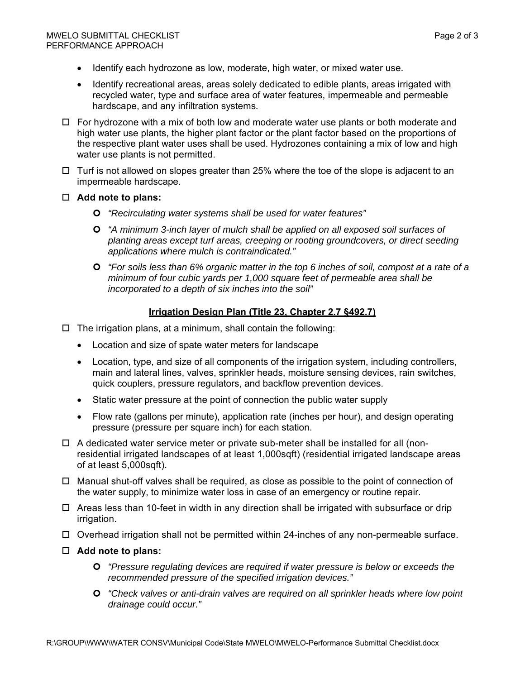- Identify each hydrozone as low, moderate, high water, or mixed water use.
- Identify recreational areas, areas solely dedicated to edible plants, areas irrigated with recycled water, type and surface area of water features, impermeable and permeable hardscape, and any infiltration systems.
- $\Box$  For hydrozone with a mix of both low and moderate water use plants or both moderate and high water use plants, the higher plant factor or the plant factor based on the proportions of the respective plant water uses shall be used. Hydrozones containing a mix of low and high water use plants is not permitted.
- $\Box$  Turf is not allowed on slopes greater than 25% where the toe of the slope is adjacent to an impermeable hardscape.
- **Add note to plans:** 
	- *"Recirculating water systems shall be used for water features"*
	- *"A minimum 3-inch layer of mulch shall be applied on all exposed soil surfaces of planting areas except turf areas, creeping or rooting groundcovers, or direct seeding applications where mulch is contraindicated."*
	- *"For soils less than 6% organic matter in the top 6 inches of soil, compost at a rate of a minimum of four cubic yards per 1,000 square feet of permeable area shall be incorporated to a depth of six inches into the soil"*

### **Irrigation Design Plan (Title 23, Chapter 2.7 §492.7)**

- $\Box$  The irrigation plans, at a minimum, shall contain the following:
	- Location and size of spate water meters for landscape
	- Location, type, and size of all components of the irrigation system, including controllers, main and lateral lines, valves, sprinkler heads, moisture sensing devices, rain switches, quick couplers, pressure regulators, and backflow prevention devices.
	- Static water pressure at the point of connection the public water supply
	- Flow rate (gallons per minute), application rate (inches per hour), and design operating pressure (pressure per square inch) for each station.
- $\Box$  A dedicated water service meter or private sub-meter shall be installed for all (nonresidential irrigated landscapes of at least 1,000sqft) (residential irrigated landscape areas of at least 5,000sqft).
- $\Box$  Manual shut-off valves shall be required, as close as possible to the point of connection of the water supply, to minimize water loss in case of an emergency or routine repair.
- $\Box$  Areas less than 10-feet in width in any direction shall be irrigated with subsurface or drip irrigation.
- $\Box$  Overhead irrigation shall not be permitted within 24-inches of any non-permeable surface.
- **Add note to plans:** 
	- *"Pressure regulating devices are required if water pressure is below or exceeds the recommended pressure of the specified irrigation devices."*
	- *"Check valves or anti-drain valves are required on all sprinkler heads where low point drainage could occur."*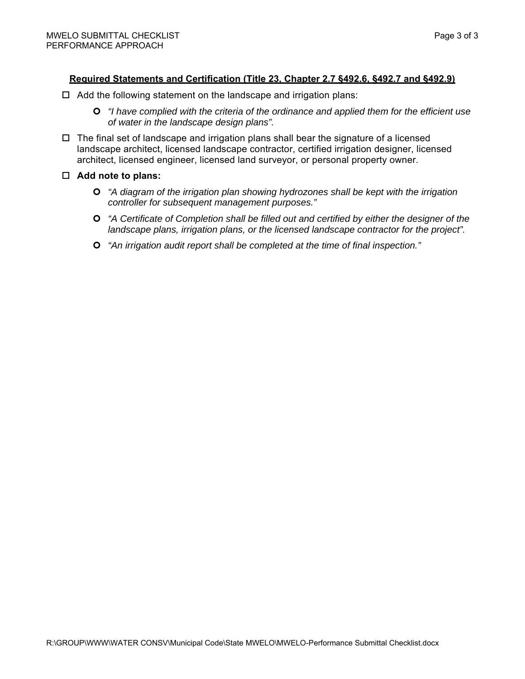## **Required Statements and Certification (Title 23, Chapter 2.7 §492.6, §492.7 and §492.9)**

- $\Box$  Add the following statement on the landscape and irrigation plans:
	- *"I have complied with the criteria of the ordinance and applied them for the efficient use of water in the landscape design plans".*
- $\Box$  The final set of landscape and irrigation plans shall bear the signature of a licensed landscape architect, licensed landscape contractor, certified irrigation designer, licensed architect, licensed engineer, licensed land surveyor, or personal property owner.
- **Add note to plans:** 
	- *"A diagram of the irrigation plan showing hydrozones shall be kept with the irrigation controller for subsequent management purposes."*
	- *"A Certificate of Completion shall be filled out and certified by either the designer of the landscape plans, irrigation plans, or the licensed landscape contractor for the project".*
	- *"An irrigation audit report shall be completed at the time of final inspection."*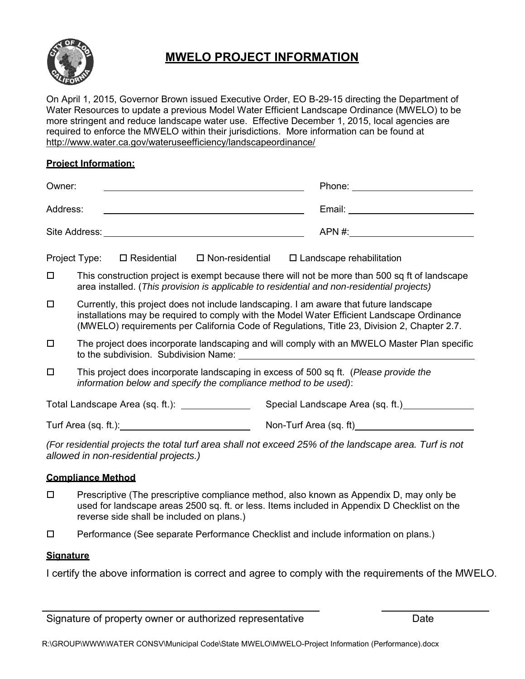

## **MWELO PROJECT INFORMATION**

On April 1, 2015, Governor Brown issued Executive Order, EO B-29-15 directing the Department of Water Resources to update a previous Model Water Efficient Landscape Ordinance (MWELO) to be more stringent and reduce landscape water use. Effective December 1, 2015, local agencies are required to enforce the MWELO within their jurisdictions. More information can be found at http://www.water.ca.gov/wateruseefficiency/landscapeordinance/

## **Project Information:**

| Owner:   |                                                                                                                                                                                                                                                                                                                               |                                                                                                                                                                                                                                |                           |  |  | Phone: the contract of the contract of the contract of the contract of the contract of the contract of the contract of the contract of the contract of the contract of the contract of the contract of the contract of the con                                                      |
|----------|-------------------------------------------------------------------------------------------------------------------------------------------------------------------------------------------------------------------------------------------------------------------------------------------------------------------------------|--------------------------------------------------------------------------------------------------------------------------------------------------------------------------------------------------------------------------------|---------------------------|--|--|-------------------------------------------------------------------------------------------------------------------------------------------------------------------------------------------------------------------------------------------------------------------------------------|
| Address: |                                                                                                                                                                                                                                                                                                                               |                                                                                                                                                                                                                                |                           |  |  |                                                                                                                                                                                                                                                                                     |
|          |                                                                                                                                                                                                                                                                                                                               | Site Address: No. 1996. The Site Address: No. 1997. The Site Address: No. 1997. The Site Address: No. 1997. The Site Address: No. 1997. The Site Address: No. 1997. The Site Address: No. 1997. The Site Address: No. 1997. Th |                           |  |  | $APN \#$                                                                                                                                                                                                                                                                            |
|          |                                                                                                                                                                                                                                                                                                                               | Project Type: □ Residential                                                                                                                                                                                                    | $\square$ Non-residential |  |  | $\Box$ Landscape rehabilitation                                                                                                                                                                                                                                                     |
| $\Box$   |                                                                                                                                                                                                                                                                                                                               |                                                                                                                                                                                                                                |                           |  |  | This construction project is exempt because there will not be more than 500 sq ft of landscape<br>area installed. (This provision is applicable to residential and non-residential projects)                                                                                        |
| □        |                                                                                                                                                                                                                                                                                                                               |                                                                                                                                                                                                                                |                           |  |  | Currently, this project does not include landscaping. I am aware that future landscape<br>installations may be required to comply with the Model Water Efficient Landscape Ordinance<br>(MWELO) requirements per California Code of Regulations, Title 23, Division 2, Chapter 2.7. |
| $\Box$   | The project does incorporate landscaping and will comply with an MWELO Master Plan specific<br>to the subdivision. Subdivision Name: University of the subdivision of the subdivision of the subdivision of the subdivision of the subdivision of the subdivision of the subdivision of the subdivision of the subdivision of |                                                                                                                                                                                                                                |                           |  |  |                                                                                                                                                                                                                                                                                     |
| $\Box$   | This project does incorporate landscaping in excess of 500 sq ft. (Please provide the<br>information below and specify the compliance method to be used):                                                                                                                                                                     |                                                                                                                                                                                                                                |                           |  |  |                                                                                                                                                                                                                                                                                     |
|          |                                                                                                                                                                                                                                                                                                                               | Total Landscape Area (sq. ft.): ______________                                                                                                                                                                                 |                           |  |  | Special Landscape Area (sq. ft.)                                                                                                                                                                                                                                                    |
|          |                                                                                                                                                                                                                                                                                                                               |                                                                                                                                                                                                                                |                           |  |  | Non-Turf Area (sq. ft)                                                                                                                                                                                                                                                              |

*(For residential projects the total turf area shall not exceed 25% of the landscape area. Turf is not allowed in non-residential projects.)*

#### **Compliance Method**

- $\square$  Prescriptive (The prescriptive compliance method, also known as Appendix D, may only be used for landscape areas 2500 sq. ft. or less. Items included in Appendix D Checklist on the reverse side shall be included on plans.)
- Performance (See separate Performance Checklist and include information on plans.)

#### **Signature**

I certify the above information is correct and agree to comply with the requirements of the MWELO.

Signature of property owner or authorized representative Date

<u> 1980 - Johann Barbara, martin a</u>

R:\GROUP\WWW\WATER CONSV\Municipal Code\State MWELO\MWELO-Project Information (Performance).docx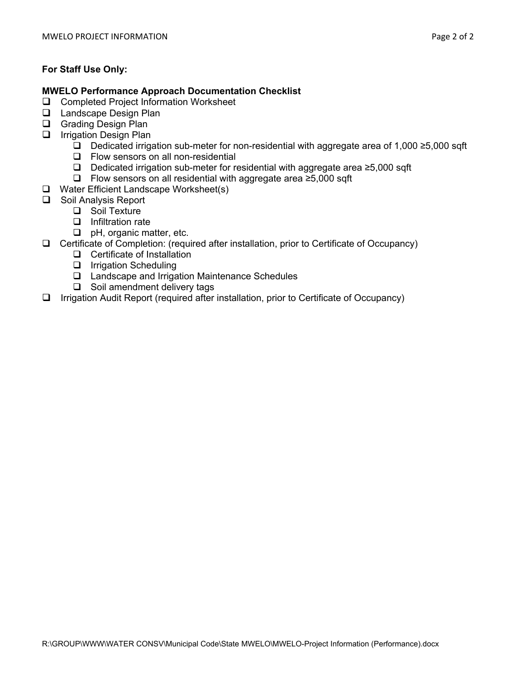## **For Staff Use Only:**

## **MWELO Performance Approach Documentation Checklist**

- □ Completed Project Information Worksheet
- **Landscape Design Plan**
- Grading Design Plan
- $\Box$  Irrigation Design Plan
	- Dedicated irrigation sub-meter for non-residential with aggregate area of 1,000 ≥5,000 sqft
	- **Q** Flow sensors on all non-residential
	- Dedicated irrigation sub-meter for residential with aggregate area ≥5,000 sqft
	- Flow sensors on all residential with aggregate area ≥5,000 sqft
- □ Water Efficient Landscape Worksheet(s)
- □ Soil Analysis Report
	- □ Soil Texture
	- $\Box$  Infiltration rate
	- **D** pH, organic matter, etc.
- Certificate of Completion: (required after installation, prior to Certificate of Occupancy)
	- □ Certificate of Installation
	- **I** Irrigation Scheduling
	- Landscape and Irrigation Maintenance Schedules
	- $\Box$  Soil amendment delivery tags
- $\Box$  Irrigation Audit Report (required after installation, prior to Certificate of Occupancy)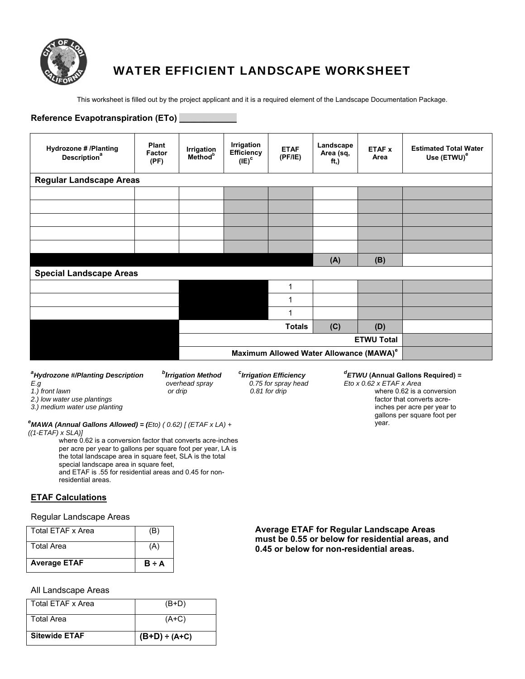

## WATER EFFICIENT LANDSCAPE WORKSHEET

This worksheet is filled out by the project applicant and it is a required element of the Landscape Documentation Package.

| Reference Evapotranspiration (ETo) _                            |                                |                                          |                                             |                        |                                                     |                       |                                                         |
|-----------------------------------------------------------------|--------------------------------|------------------------------------------|---------------------------------------------|------------------------|-----------------------------------------------------|-----------------------|---------------------------------------------------------|
| <b>Hydrozone # /Planting</b><br><b>Description</b> <sup>a</sup> | Plant<br><b>Factor</b><br>(PF) | Irrigation<br><b>Method</b> <sup>b</sup> | Irrigation<br><b>Efficiency</b><br>$(IE)^c$ | <b>ETAF</b><br>(PF/IE) | Landscape<br>Area (sq,<br>ft)                       | <b>ETAF x</b><br>Area | <b>Estimated Total Water</b><br>Use (ETWU) <sup>e</sup> |
| <b>Regular Landscape Areas</b>                                  |                                |                                          |                                             |                        |                                                     |                       |                                                         |
|                                                                 |                                |                                          |                                             |                        |                                                     |                       |                                                         |
|                                                                 |                                |                                          |                                             |                        |                                                     |                       |                                                         |
|                                                                 |                                |                                          |                                             |                        |                                                     |                       |                                                         |
|                                                                 |                                |                                          |                                             |                        |                                                     |                       |                                                         |
|                                                                 |                                |                                          |                                             |                        |                                                     |                       |                                                         |
|                                                                 |                                |                                          |                                             |                        | (A)                                                 | (B)                   |                                                         |
| <b>Special Landscape Areas</b>                                  |                                |                                          |                                             |                        |                                                     |                       |                                                         |
|                                                                 |                                |                                          |                                             | 1                      |                                                     |                       |                                                         |
|                                                                 |                                |                                          |                                             | 1                      |                                                     |                       |                                                         |
|                                                                 |                                |                                          |                                             | 1                      |                                                     |                       |                                                         |
|                                                                 |                                |                                          |                                             | <b>Totals</b>          | (C)                                                 | (D)                   |                                                         |
| <b>ETWU Total</b>                                               |                                |                                          |                                             |                        |                                                     |                       |                                                         |
|                                                                 |                                |                                          |                                             |                        | Maximum Allowed Water Allowance (MAWA) <sup>e</sup> |                       |                                                         |

| <sup>a</sup> Hydrozone #/Planting Description |  |
|-----------------------------------------------|--|
| E.a                                           |  |
| 1.) front lawn                                |  |

*b Irrigation Method <sup>c</sup>*

**<sup>c</sup>**Irrigation Efficiency  *overhead spray 0.75 for spray head or drip 0.81 for drip* 

#### *d ETWU* **(Annual Gallons Required)** *= Eto x 0.62 x ETAF x Area*

where 0.62 is a conversion factor that converts acreinches per acre per year to gallons per square foot per

*2.) low water use plantings* 

*3.) medium water use planting*

year. *<sup>e</sup> MAWA (Annual Gallons Allowed) = (Eto) ( 0.62) [ (ETAF x LA) + ((1-ETAF) x SLA)]* 

where 0.62 is a conversion factor that converts acre-inches per acre per year to gallons per square foot per year, LA is the total landscape area in square feet, SLA is the total special landscape area in square feet, and ETAF is .55 for residential areas and 0.45 for nonresidential areas.

#### **ETAF Calculations**

#### Regular Landscape Areas

| <b>Average ETAF</b> | $B \div A$ |
|---------------------|------------|
| <b>Total Area</b>   | (A)        |
| Total ETAF x Area   | (B)        |

#### All Landscape Areas

| Total FTAF x Area    | $(B+D)$            |
|----------------------|--------------------|
| <b>Total Area</b>    | $(A+C)$            |
| <b>Sitewide ETAF</b> | $(B+D) \div (A+C)$ |

**Average ETAF for Regular Landscape Areas must be 0.55 or below for residential areas, and 0.45 or below for non-residential areas.**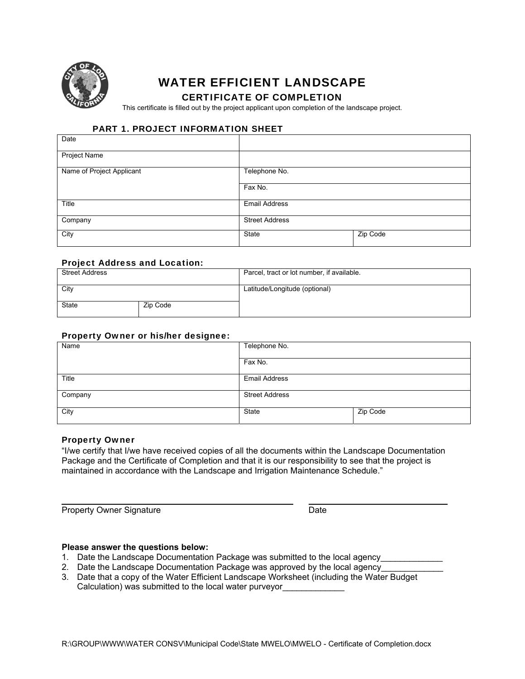

# WATER EFFICIENT LANDSCAPE

#### CERTIFICATE OF COMPLETION

This certificate is filled out by the project applicant upon completion of the landscape project.

#### PART 1. PROJECT INFORMATION SHEET

| Date                      |                       |          |  |
|---------------------------|-----------------------|----------|--|
| <b>Project Name</b>       |                       |          |  |
| Name of Project Applicant | Telephone No.         |          |  |
|                           | Fax No.               |          |  |
| Title                     | Email Address         |          |  |
| Company                   | <b>Street Address</b> |          |  |
| City                      | State                 | Zip Code |  |

#### Project Address and Location:

| <b>Street Address</b> |          | Parcel, tract or lot number, if available. |
|-----------------------|----------|--------------------------------------------|
| City                  |          | Latitude/Longitude (optional)              |
| <b>State</b>          | Zip Code |                                            |

#### Property Owner or his/her designee:

| Name    | Telephone No.         |          |  |
|---------|-----------------------|----------|--|
|         | Fax No.               |          |  |
| Title   | <b>Email Address</b>  |          |  |
| Company | <b>Street Address</b> |          |  |
| City    | State                 | Zip Code |  |

#### Property Owner

 $\overline{a}$ 

"I/we certify that I/we have received copies of all the documents within the Landscape Documentation Package and the Certificate of Completion and that it is our responsibility to see that the project is maintained in accordance with the Landscape and Irrigation Maintenance Schedule."

Property Owner Signature **Date** Date

#### **Please answer the questions below:**

- 1. Date the Landscape Documentation Package was submitted to the local agency\_\_\_\_\_\_\_\_\_\_\_\_\_
- 2. Date the Landscape Documentation Package was approved by the local agency
- 3. Date that a copy of the Water Efficient Landscape Worksheet (including the Water Budget Calculation) was submitted to the local water purveyor